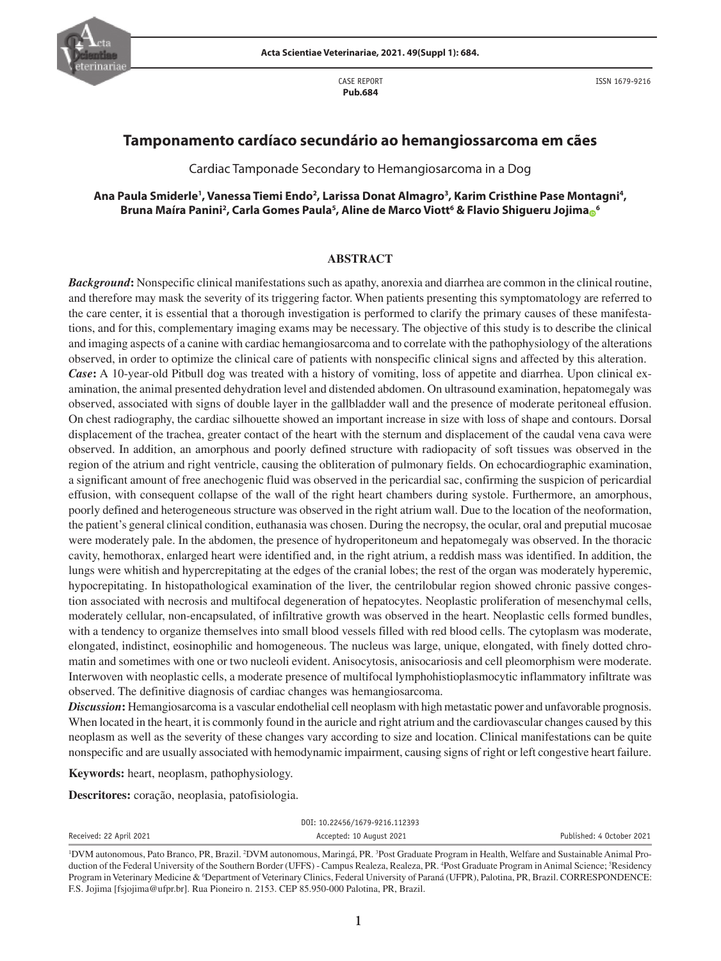

CASE REPORT **Pub.684**

## **Tamponamento cardíaco secundário ao hemangiossarcoma em cães**

Cardiac Tamponade Secondary to Hemangiosarcoma in a Dog

## Ana Paula Smiderle', Vanessa Tiemi Endo<sup>2</sup>, Larissa Donat Almagro<sup>3</sup>, Karim Cristhine Pase Montagni<sup>4</sup>, **Bruna Maíra Panini2 , Carla Gomes Paula5 , Aline de Marco Viott6 & Flavio Shigueru Jojim[a](https://orcid.org/0000-0003-3556-209X) <sup>6</sup>**

#### **ABSTRACT**

*Background***:** Nonspecific clinical manifestations such as apathy, anorexia and diarrhea are common in the clinical routine, and therefore may mask the severity of its triggering factor. When patients presenting this symptomatology are referred to the care center, it is essential that a thorough investigation is performed to clarify the primary causes of these manifestations, and for this, complementary imaging exams may be necessary. The objective of this study is to describe the clinical and imaging aspects of a canine with cardiac hemangiosarcoma and to correlate with the pathophysiology of the alterations observed, in order to optimize the clinical care of patients with nonspecific clinical signs and affected by this alteration. *Case*: A 10-year-old Pitbull dog was treated with a history of vomiting, loss of appetite and diarrhea. Upon clinical examination, the animal presented dehydration level and distended abdomen. On ultrasound examination, hepatomegaly was observed, associated with signs of double layer in the gallbladder wall and the presence of moderate peritoneal effusion. On chest radiography, the cardiac silhouette showed an important increase in size with loss of shape and contours. Dorsal displacement of the trachea, greater contact of the heart with the sternum and displacement of the caudal vena cava were observed. In addition, an amorphous and poorly defined structure with radiopacity of soft tissues was observed in the region of the atrium and right ventricle, causing the obliteration of pulmonary fields. On echocardiographic examination, a significant amount of free anechogenic fluid was observed in the pericardial sac, confirming the suspicion of pericardial effusion, with consequent collapse of the wall of the right heart chambers during systole. Furthermore, an amorphous, poorly defined and heterogeneous structure was observed in the right atrium wall. Due to the location of the neoformation, the patient's general clinical condition, euthanasia was chosen. During the necropsy, the ocular, oral and preputial mucosae were moderately pale. In the abdomen, the presence of hydroperitoneum and hepatomegaly was observed. In the thoracic cavity, hemothorax, enlarged heart were identified and, in the right atrium, a reddish mass was identified. In addition, the lungs were whitish and hypercrepitating at the edges of the cranial lobes; the rest of the organ was moderately hyperemic, hypocrepitating. In histopathological examination of the liver, the centrilobular region showed chronic passive congestion associated with necrosis and multifocal degeneration of hepatocytes. Neoplastic proliferation of mesenchymal cells, moderately cellular, non-encapsulated, of infiltrative growth was observed in the heart. Neoplastic cells formed bundles, with a tendency to organize themselves into small blood vessels filled with red blood cells. The cytoplasm was moderate, elongated, indistinct, eosinophilic and homogeneous. The nucleus was large, unique, elongated, with finely dotted chromatin and sometimes with one or two nucleoli evident. Anisocytosis, anisocariosis and cell pleomorphism were moderate. Interwoven with neoplastic cells, a moderate presence of multifocal lymphohistioplasmocytic inflammatory infiltrate was observed. The definitive diagnosis of cardiac changes was hemangiosarcoma.

*Discussion***:** Hemangiosarcoma is a vascular endothelial cell neoplasm with high metastatic power and unfavorable prognosis. When located in the heart, it is commonly found in the auricle and right atrium and the cardiovascular changes caused by this neoplasm as well as the severity of these changes vary according to size and location. Clinical manifestations can be quite nonspecific and are usually associated with hemodynamic impairment, causing signs of right or left congestive heart failure.

**Keywords:** heart, neoplasm, pathophysiology.

**Descritores:** coração, neoplasia, patofisiologia.

| DOI: 10.22456/1679-9216.112393                                                                                                                                                 |                          |                           |
|--------------------------------------------------------------------------------------------------------------------------------------------------------------------------------|--------------------------|---------------------------|
| Received: 22 April 2021                                                                                                                                                        | Accepted: 10 August 2021 | Published: 4 October 2021 |
| <sup>1</sup> DVM autonomous Pato Rranco, PR, Rrazil, <sup>2</sup> DVM autonomous Maringá, PR, <sup>3</sup> Post Graduate Program in Health Welfare and Sustainable Animal Pro- |                          |                           |

DVM autonomous, Pato Branco, PR, Brazil. 2 DVM autonomous, Maringá, PR. 3 Post Graduate Program in Health, Welfare and Sustainable Animal Production of the Federal University of the Southern Border (UFFS) - Campus Realeza, Realeza, PR. <sup>4</sup>Post Graduate Program in Animal Science; <sup>5</sup>Residency Program in Veterinary Medicine & <sup>6</sup>Department of Veterinary Clinics, Federal University of Paraná (UFPR), Palotina, PR, Brazil. CORRESPONDENCE: F.S. Jojima [fsjojima@ufpr.br]. Rua Pioneiro n. 2153. CEP 85.950-000 Palotina, PR, Brazil.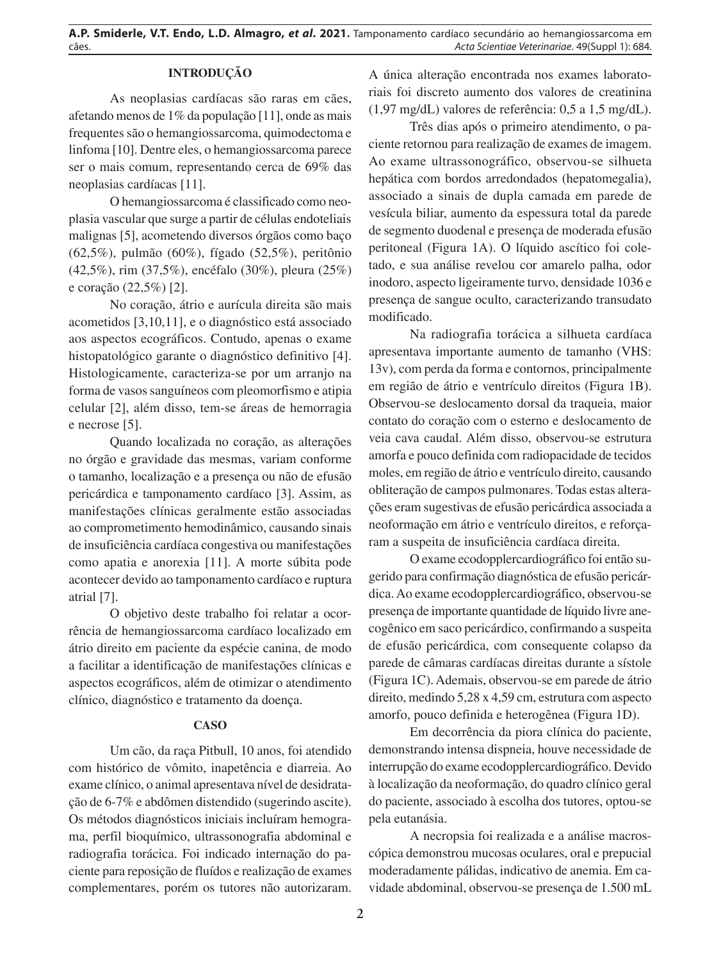# **INTRODUÇÃO**

As neoplasias cardíacas são raras em cães, afetando menos de 1% da população [11], onde as mais frequentes são o hemangiossarcoma, quimodectoma e linfoma [10]. Dentre eles, o hemangiossarcoma parece ser o mais comum, representando cerca de 69% das neoplasias cardíacas [11].

O hemangiossarcoma é classificado como neoplasia vascular que surge a partir de células endoteliais malignas [5], acometendo diversos órgãos como baço (62,5%), pulmão (60%), fígado (52,5%), peritônio (42,5%), rim (37,5%), encéfalo (30%), pleura (25%) e coração (22,5%) [2].

No coração, átrio e aurícula direita são mais acometidos [3,10,11], e o diagnóstico está associado aos aspectos ecográficos. Contudo, apenas o exame histopatológico garante o diagnóstico definitivo [4]. Histologicamente, caracteriza-se por um arranjo na forma de vasos sanguíneos com pleomorfismo e atipia celular [2], além disso, tem-se áreas de hemorragia e necrose [5].

Quando localizada no coração, as alterações no órgão e gravidade das mesmas, variam conforme o tamanho, localização e a presença ou não de efusão pericárdica e tamponamento cardíaco [3]. Assim, as manifestações clínicas geralmente estão associadas ao comprometimento hemodinâmico, causando sinais de insuficiência cardíaca congestiva ou manifestações como apatia e anorexia [11]. A morte súbita pode acontecer devido ao tamponamento cardíaco e ruptura atrial [7].

O objetivo deste trabalho foi relatar a ocorrência de hemangiossarcoma cardíaco localizado em átrio direito em paciente da espécie canina, de modo a facilitar a identificação de manifestações clínicas e aspectos ecográficos, além de otimizar o atendimento clínico, diagnóstico e tratamento da doença.

#### **CASO**

Um cão, da raça Pitbull, 10 anos, foi atendido com histórico de vômito, inapetência e diarreia. Ao exame clínico, o animal apresentava nível de desidratação de 6-7% e abdômen distendido (sugerindo ascite). Os métodos diagnósticos iniciais incluíram hemograma, perfil bioquímico, ultrassonografia abdominal e radiografia torácica. Foi indicado internação do paciente para reposição de fluídos e realização de exames complementares, porém os tutores não autorizaram. A única alteração encontrada nos exames laboratoriais foi discreto aumento dos valores de creatinina (1,97 mg/dL) valores de referência: 0,5 a 1,5 mg/dL).

Três dias após o primeiro atendimento, o paciente retornou para realização de exames de imagem. Ao exame ultrassonográfico, observou-se silhueta hepática com bordos arredondados (hepatomegalia), associado a sinais de dupla camada em parede de vesícula biliar, aumento da espessura total da parede de segmento duodenal e presença de moderada efusão peritoneal (Figura 1A). O líquido ascítico foi coletado, e sua análise revelou cor amarelo palha, odor inodoro, aspecto ligeiramente turvo, densidade 1036 e presença de sangue oculto, caracterizando transudato modificado.

Na radiografia torácica a silhueta cardíaca apresentava importante aumento de tamanho (VHS: 13v), com perda da forma e contornos, principalmente em região de átrio e ventrículo direitos (Figura 1B). Observou-se deslocamento dorsal da traqueia, maior contato do coração com o esterno e deslocamento de veia cava caudal. Além disso, observou-se estrutura amorfa e pouco definida com radiopacidade de tecidos moles, em região de átrio e ventrículo direito, causando obliteração de campos pulmonares. Todas estas alterações eram sugestivas de efusão pericárdica associada a neoformação em átrio e ventrículo direitos, e reforçaram a suspeita de insuficiência cardíaca direita.

O exame ecodopplercardiográfico foi então sugerido para confirmação diagnóstica de efusão pericárdica. Ao exame ecodopplercardiográfico, observou-se presença de importante quantidade de líquido livre anecogênico em saco pericárdico, confirmando a suspeita de efusão pericárdica, com consequente colapso da parede de câmaras cardíacas direitas durante a sístole (Figura 1C). Ademais, observou-se em parede de átrio direito, medindo 5,28 x 4,59 cm, estrutura com aspecto amorfo, pouco definida e heterogênea (Figura 1D).

Em decorrência da piora clínica do paciente, demonstrando intensa dispneia, houve necessidade de interrupção do exame ecodopplercardiográfico. Devido à localização da neoformação, do quadro clínico geral do paciente, associado à escolha dos tutores, optou-se pela eutanásia.

A necropsia foi realizada e a análise macroscópica demonstrou mucosas oculares, oral e prepucial moderadamente pálidas, indicativo de anemia. Em cavidade abdominal, observou-se presença de 1.500 mL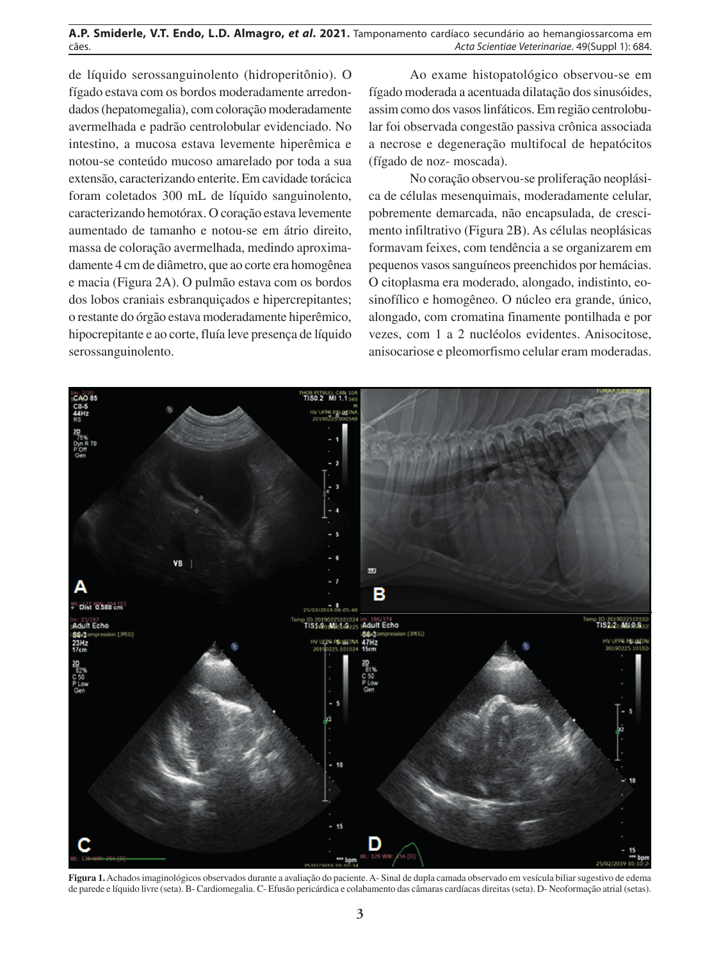de líquido serossanguinolento (hidroperitônio). O fígado estava com os bordos moderadamente arredondados (hepatomegalia), com coloração moderadamente avermelhada e padrão centrolobular evidenciado. No intestino, a mucosa estava levemente hiperêmica e notou-se conteúdo mucoso amarelado por toda a sua extensão, caracterizando enterite. Em cavidade torácica foram coletados 300 mL de líquido sanguinolento, caracterizando hemotórax. O coração estava levemente aumentado de tamanho e notou-se em átrio direito, massa de coloração avermelhada, medindo aproximadamente 4 cm de diâmetro, que ao corte era homogênea e macia (Figura 2A). O pulmão estava com os bordos dos lobos craniais esbranquiçados e hipercrepitantes; o restante do órgão estava moderadamente hiperêmico, hipocrepitante e ao corte, fluía leve presença de líquido serossanguinolento.

Ao exame histopatológico observou-se em fígado moderada a acentuada dilatação dos sinusóides, assim como dos vasos linfáticos. Em região centrolobular foi observada congestão passiva crônica associada a necrose e degeneração multifocal de hepatócitos (fígado de noz- moscada).

No coração observou-se proliferação neoplásica de células mesenquimais, moderadamente celular, pobremente demarcada, não encapsulada, de crescimento infiltrativo (Figura 2B). As células neoplásicas formavam feixes, com tendência a se organizarem em pequenos vasos sanguíneos preenchidos por hemácias. O citoplasma era moderado, alongado, indistinto, eosinofílico e homogêneo. O núcleo era grande, único, alongado, com cromatina finamente pontilhada e por vezes, com 1 a 2 nucléolos evidentes. Anisocitose, anisocariose e pleomorfismo celular eram moderadas.



**Figura 1.** Achados imaginológicos observados durante a avaliação do paciente. A- Sinal de dupla camada observado em vesícula biliar sugestivo de edema de parede e líquido livre (seta). B- Cardiomegalia. C- Efusão pericárdica e colabamento das câmaras cardíacas direitas (seta). D- Neoformação atrial (setas).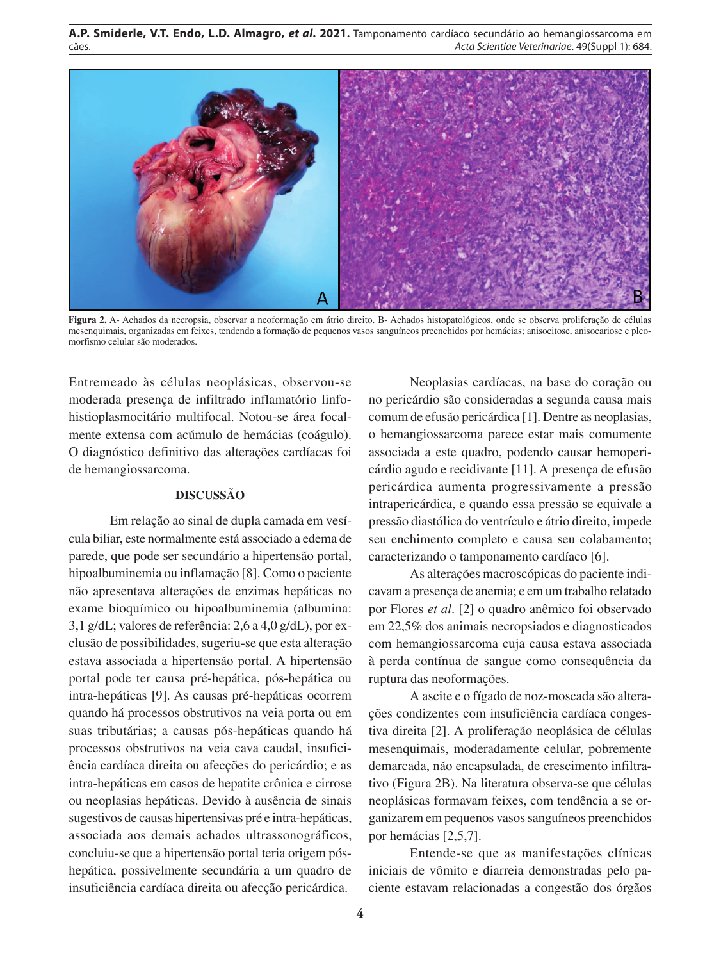

**Figura 2.** A- Achados da necropsia, observar a neoformação em átrio direito. B- Achados histopatológicos, onde se observa proliferação de células mesenquimais, organizadas em feixes, tendendo a formação de pequenos vasos sanguíneos preenchidos por hemácias; anisocitose, anisocariose e pleomorfismo celular são moderados.

Entremeado às células neoplásicas, observou-se moderada presença de infiltrado inflamatório linfohistioplasmocitário multifocal. Notou-se área focalmente extensa com acúmulo de hemácias (coágulo). O diagnóstico definitivo das alterações cardíacas foi de hemangiossarcoma.

## **DISCUSSÃO**

Em relação ao sinal de dupla camada em vesícula biliar, este normalmente está associado a edema de parede, que pode ser secundário a hipertensão portal, hipoalbuminemia ou inflamação [8]. Como o paciente não apresentava alterações de enzimas hepáticas no exame bioquímico ou hipoalbuminemia (albumina: 3,1 g/dL; valores de referência: 2,6 a 4,0 g/dL), por exclusão de possibilidades, sugeriu-se que esta alteração estava associada a hipertensão portal. A hipertensão portal pode ter causa pré-hepática, pós-hepática ou intra-hepáticas [9]. As causas pré-hepáticas ocorrem quando há processos obstrutivos na veia porta ou em suas tributárias; a causas pós-hepáticas quando há processos obstrutivos na veia cava caudal, insuficiência cardíaca direita ou afecções do pericárdio; e as intra-hepáticas em casos de hepatite crônica e cirrose ou neoplasias hepáticas. Devido à ausência de sinais sugestivos de causas hipertensivas pré e intra-hepáticas, associada aos demais achados ultrassonográficos, concluiu-se que a hipertensão portal teria origem póshepática, possivelmente secundária a um quadro de insuficiência cardíaca direita ou afecção pericárdica.

Neoplasias cardíacas, na base do coração ou no pericárdio são consideradas a segunda causa mais comum de efusão pericárdica [1]. Dentre as neoplasias, o hemangiossarcoma parece estar mais comumente associada a este quadro, podendo causar hemopericárdio agudo e recidivante [11]. A presença de efusão pericárdica aumenta progressivamente a pressão intrapericárdica, e quando essa pressão se equivale a pressão diastólica do ventrículo e átrio direito, impede seu enchimento completo e causa seu colabamento; caracterizando o tamponamento cardíaco [6].

As alterações macroscópicas do paciente indicavam a presença de anemia; e em um trabalho relatado por Flores *et al*. [2] o quadro anêmico foi observado em 22,5% dos animais necropsiados e diagnosticados com hemangiossarcoma cuja causa estava associada à perda contínua de sangue como consequência da ruptura das neoformações.

A ascite e o fígado de noz-moscada são alterações condizentes com insuficiência cardíaca congestiva direita [2]. A proliferação neoplásica de células mesenquimais, moderadamente celular, pobremente demarcada, não encapsulada, de crescimento infiltrativo (Figura 2B). Na literatura observa-se que células neoplásicas formavam feixes, com tendência a se organizarem em pequenos vasos sanguíneos preenchidos por hemácias [2,5,7].

Entende-se que as manifestações clínicas iniciais de vômito e diarreia demonstradas pelo paciente estavam relacionadas a congestão dos órgãos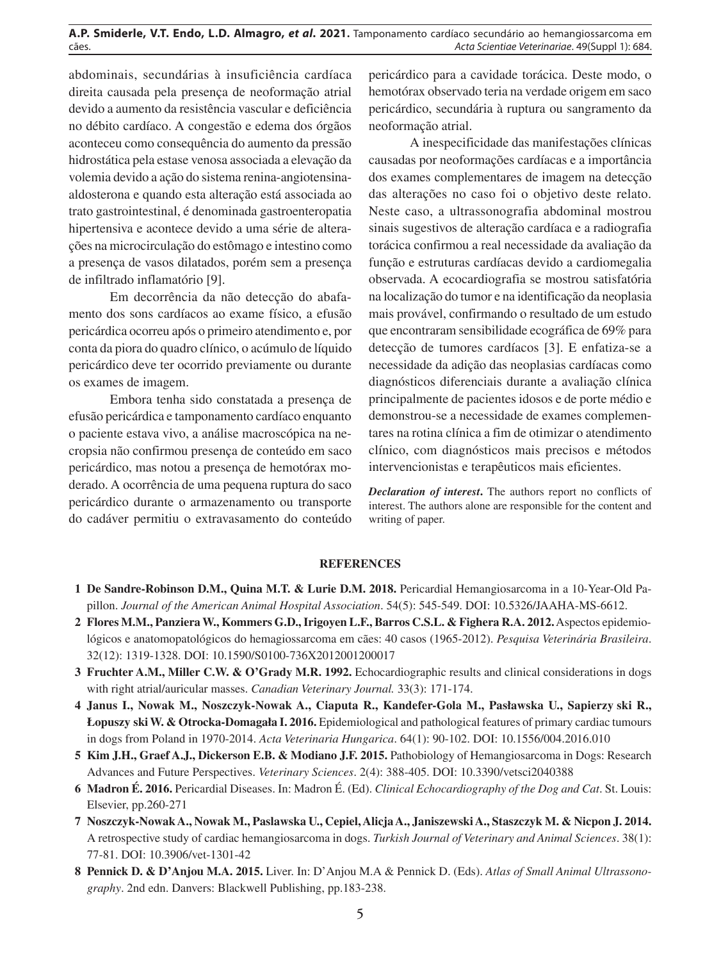abdominais, secundárias à insuficiência cardíaca direita causada pela presença de neoformação atrial devido a aumento da resistência vascular e deficiência no débito cardíaco. A congestão e edema dos órgãos aconteceu como consequência do aumento da pressão hidrostática pela estase venosa associada a elevação da volemia devido a ação do sistema renina-angiotensinaaldosterona e quando esta alteração está associada ao trato gastrointestinal, é denominada gastroenteropatia hipertensiva e acontece devido a uma série de alterações na microcirculação do estômago e intestino como a presença de vasos dilatados, porém sem a presença de infiltrado inflamatório [9].

Em decorrência da não detecção do abafamento dos sons cardíacos ao exame físico, a efusão pericárdica ocorreu após o primeiro atendimento e, por conta da piora do quadro clínico, o acúmulo de líquido pericárdico deve ter ocorrido previamente ou durante os exames de imagem.

Embora tenha sido constatada a presença de efusão pericárdica e tamponamento cardíaco enquanto o paciente estava vivo, a análise macroscópica na necropsia não confirmou presença de conteúdo em saco pericárdico, mas notou a presença de hemotórax moderado. A ocorrência de uma pequena ruptura do saco pericárdico durante o armazenamento ou transporte do cadáver permitiu o extravasamento do conteúdo

pericárdico para a cavidade torácica. Deste modo, o hemotórax observado teria na verdade origem em saco pericárdico, secundária à ruptura ou sangramento da neoformação atrial.

A inespecificidade das manifestações clínicas causadas por neoformações cardíacas e a importância dos exames complementares de imagem na detecção das alterações no caso foi o objetivo deste relato. Neste caso, a ultrassonografia abdominal mostrou sinais sugestivos de alteração cardíaca e a radiografia torácica confirmou a real necessidade da avaliação da função e estruturas cardíacas devido a cardiomegalia observada. A ecocardiografia se mostrou satisfatória na localização do tumor e na identificação da neoplasia mais provável, confirmando o resultado de um estudo que encontraram sensibilidade ecográfica de 69% para detecção de tumores cardíacos [3]. E enfatiza-se a necessidade da adição das neoplasias cardíacas como diagnósticos diferenciais durante a avaliação clínica principalmente de pacientes idosos e de porte médio e demonstrou-se a necessidade de exames complementares na rotina clínica a fim de otimizar o atendimento clínico, com diagnósticos mais precisos e métodos intervencionistas e terapêuticos mais eficientes.

*Declaration of interest***.** The authors report no conflicts of interest. The authors alone are responsible for the content and writing of paper.

#### **REFERENCES**

- **1 De Sandre-Robinson D.M., Quina M.T. & Lurie D.M. 2018.** Pericardial Hemangiosarcoma in a 10-Year-Old Papillon. *Journal of the American Animal Hospital Association*. 54(5): 545-549. DOI: 10.5326/JAAHA-MS-6612.
- **2 Flores M.M., Panziera W., Kommers G.D., Irigoyen L.F., Barros C.S.L. & Fighera R.A. 2012.** Aspectos epidemiológicos e anatomopatológicos do hemagiossarcoma em cães: 40 casos (1965-2012). *Pesquisa Veterinária Brasileira*. 32(12): 1319-1328. DOI: 10.1590/S0100-736X2012001200017
- **3 Fruchter A.M., Miller C.W. & O'Grady M.R. 1992.** Echocardiographic results and clinical considerations in dogs with right atrial/auricular masses. *Canadian Veterinary Journal.* 33(3): 171-174.
- **4 Janus I., Nowak M., Noszczyk-Nowak A., Ciaputa R., Kandefer-Gola M., Pasławska U., Sapierzyński R., Łopuszy ski W. & Otrocka-Domagała I. 2016.** Epidemiological and pathological features of primary cardiac tumours in dogs from Poland in 1970-2014. *Acta Veterinaria Hungarica*. 64(1): 90-102. DOI: 10.1556/004.2016.010
- **5 Kim J.H., Graef A.J., Dickerson E.B. & Modiano J.F. 2015.** Pathobiology of Hemangiosarcoma in Dogs: Research Advances and Future Perspectives. *Veterinary Sciences*. 2(4): 388-405. DOI: 10.3390/vetsci2040388
- **6 Madron É. 2016.** Pericardial Diseases. In: Madron É. (Ed). *Clinical Echocardiography of the Dog and Cat*. St. Louis: Elsevier, pp.260-271
- **7 Noszczyk-Nowak A., Nowak M., Paslawska U., Cepiel, Alicja A., Janiszewski A., Staszczyk M. & Nicpon J. 2014.** A retrospective study of cardiac hemangiosarcoma in dogs. *Turkish Journal of Veterinary and Animal Sciences*. 38(1): 77-81. DOI: 10.3906/vet-1301-42
- **8 Pennick D. & D'Anjou M.A. 2015.** Liver. In: D'Anjou M.A & Pennick D. (Eds). *Atlas of Small Animal Ultrassonography*. 2nd edn. Danvers: Blackwell Publishing, pp.183-238.